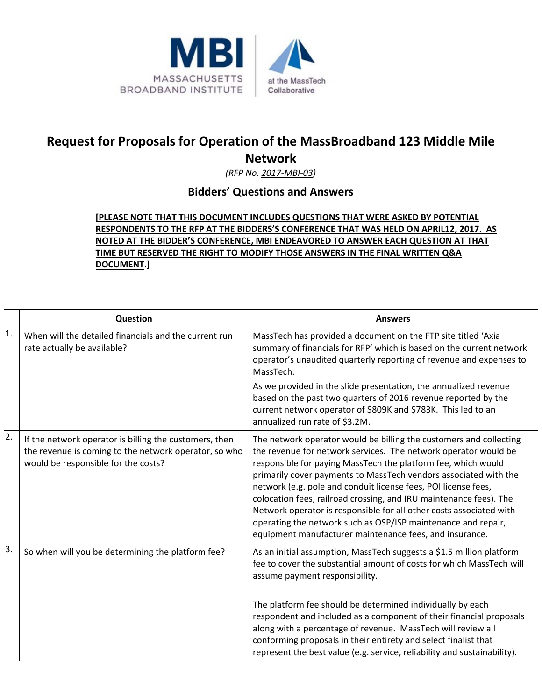

## **Request for Proposals for Operation of the MassBroadband 123 Middle Mile Network**

*(RFP No. 2017‐MBI‐03)*

## **Bidders' Questions and Answers**

## **[PLEASE NOTE THAT THIS DOCUMENT INCLUDES QUESTIONS THAT WERE ASKED BY POTENTIAL RESPONDENTS TO THE RFP AT THE BIDDERS'S CONFERENCE THAT WAS HELD ON APRIL12, 2017. AS NOTED AT THE BIDDER'S CONFERENCE, MBI ENDEAVORED TO ANSWER EACH QUESTION AT THAT TIME BUT RESERVED THE RIGHT TO MODIFY THOSE ANSWERS IN THE FINAL WRITTEN Q&A DOCUMENT**.]

|    | Question                                                                                                                                               | <b>Answers</b>                                                                                                                                                                                                                                                                                                                                                                                                                                                                                                                                                                                                        |
|----|--------------------------------------------------------------------------------------------------------------------------------------------------------|-----------------------------------------------------------------------------------------------------------------------------------------------------------------------------------------------------------------------------------------------------------------------------------------------------------------------------------------------------------------------------------------------------------------------------------------------------------------------------------------------------------------------------------------------------------------------------------------------------------------------|
| 1. | When will the detailed financials and the current run<br>rate actually be available?                                                                   | MassTech has provided a document on the FTP site titled 'Axia<br>summary of financials for RFP' which is based on the current network<br>operator's unaudited quarterly reporting of revenue and expenses to<br>MassTech.                                                                                                                                                                                                                                                                                                                                                                                             |
|    |                                                                                                                                                        | As we provided in the slide presentation, the annualized revenue<br>based on the past two quarters of 2016 revenue reported by the<br>current network operator of \$809K and \$783K. This led to an<br>annualized run rate of \$3.2M.                                                                                                                                                                                                                                                                                                                                                                                 |
| 2. | If the network operator is billing the customers, then<br>the revenue is coming to the network operator, so who<br>would be responsible for the costs? | The network operator would be billing the customers and collecting<br>the revenue for network services. The network operator would be<br>responsible for paying MassTech the platform fee, which would<br>primarily cover payments to MassTech vendors associated with the<br>network (e.g. pole and conduit license fees, POI license fees,<br>colocation fees, railroad crossing, and IRU maintenance fees). The<br>Network operator is responsible for all other costs associated with<br>operating the network such as OSP/ISP maintenance and repair,<br>equipment manufacturer maintenance fees, and insurance. |
| 3. | So when will you be determining the platform fee?                                                                                                      | As an initial assumption, MassTech suggests a \$1.5 million platform<br>fee to cover the substantial amount of costs for which MassTech will<br>assume payment responsibility.                                                                                                                                                                                                                                                                                                                                                                                                                                        |
|    |                                                                                                                                                        | The platform fee should be determined individually by each<br>respondent and included as a component of their financial proposals<br>along with a percentage of revenue. MassTech will review all<br>conforming proposals in their entirety and select finalist that<br>represent the best value (e.g. service, reliability and sustainability).                                                                                                                                                                                                                                                                      |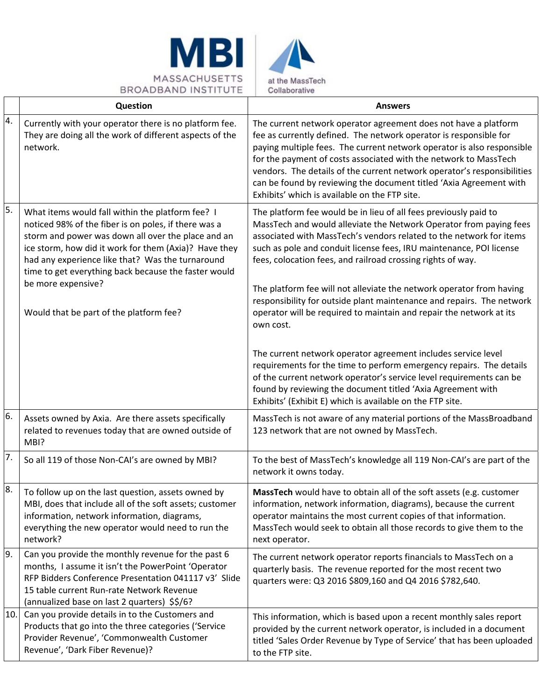



|                  | Question                                                                                                                                                                                                                                                                                                                            | <b>Answers</b>                                                                                                                                                                                                                                                                                                                                                                                                                                                                       |
|------------------|-------------------------------------------------------------------------------------------------------------------------------------------------------------------------------------------------------------------------------------------------------------------------------------------------------------------------------------|--------------------------------------------------------------------------------------------------------------------------------------------------------------------------------------------------------------------------------------------------------------------------------------------------------------------------------------------------------------------------------------------------------------------------------------------------------------------------------------|
| 4.               | Currently with your operator there is no platform fee.<br>They are doing all the work of different aspects of the<br>network.                                                                                                                                                                                                       | The current network operator agreement does not have a platform<br>fee as currently defined. The network operator is responsible for<br>paying multiple fees. The current network operator is also responsible<br>for the payment of costs associated with the network to MassTech<br>vendors. The details of the current network operator's responsibilities<br>can be found by reviewing the document titled 'Axia Agreement with<br>Exhibits' which is available on the FTP site. |
| 5.               | What items would fall within the platform fee? I<br>noticed 98% of the fiber is on poles, if there was a<br>storm and power was down all over the place and an<br>ice storm, how did it work for them (Axia)? Have they<br>had any experience like that? Was the turnaround<br>time to get everything back because the faster would | The platform fee would be in lieu of all fees previously paid to<br>MassTech and would alleviate the Network Operator from paying fees<br>associated with MassTech's vendors related to the network for items<br>such as pole and conduit license fees, IRU maintenance, POI license<br>fees, colocation fees, and railroad crossing rights of way.                                                                                                                                  |
|                  | be more expensive?<br>Would that be part of the platform fee?                                                                                                                                                                                                                                                                       | The platform fee will not alleviate the network operator from having<br>responsibility for outside plant maintenance and repairs. The network<br>operator will be required to maintain and repair the network at its<br>own cost.                                                                                                                                                                                                                                                    |
|                  |                                                                                                                                                                                                                                                                                                                                     | The current network operator agreement includes service level<br>requirements for the time to perform emergency repairs. The details<br>of the current network operator's service level requirements can be<br>found by reviewing the document titled 'Axia Agreement with<br>Exhibits' (Exhibit E) which is available on the FTP site.                                                                                                                                              |
| 6.               | Assets owned by Axia. Are there assets specifically<br>related to revenues today that are owned outside of<br>MBI?                                                                                                                                                                                                                  | MassTech is not aware of any material portions of the MassBroadband<br>123 network that are not owned by MassTech.                                                                                                                                                                                                                                                                                                                                                                   |
| $\overline{7}$ . | So all 119 of those Non-CAI's are owned by MBI?                                                                                                                                                                                                                                                                                     | To the best of MassTech's knowledge all 119 Non-CAI's are part of the<br>network it owns today.                                                                                                                                                                                                                                                                                                                                                                                      |
| 8.               | To follow up on the last question, assets owned by<br>MBI, does that include all of the soft assets; customer<br>information, network information, diagrams,<br>everything the new operator would need to run the<br>network?                                                                                                       | MassTech would have to obtain all of the soft assets (e.g. customer<br>information, network information, diagrams), because the current<br>operator maintains the most current copies of that information.<br>MassTech would seek to obtain all those records to give them to the<br>next operator.                                                                                                                                                                                  |
| 9.               | Can you provide the monthly revenue for the past 6<br>months, I assume it isn't the PowerPoint 'Operator<br>RFP Bidders Conference Presentation 041117 v3' Slide<br>15 table current Run-rate Network Revenue<br>(annualized base on last 2 quarters) \$\$/6?                                                                       | The current network operator reports financials to MassTech on a<br>quarterly basis. The revenue reported for the most recent two<br>quarters were: Q3 2016 \$809,160 and Q4 2016 \$782,640.                                                                                                                                                                                                                                                                                         |
| 10.              | Can you provide details in to the Customers and<br>Products that go into the three categories ('Service<br>Provider Revenue', 'Commonwealth Customer<br>Revenue', 'Dark Fiber Revenue)?                                                                                                                                             | This information, which is based upon a recent monthly sales report<br>provided by the current network operator, is included in a document<br>titled 'Sales Order Revenue by Type of Service' that has been uploaded<br>to the FTP site.                                                                                                                                                                                                                                             |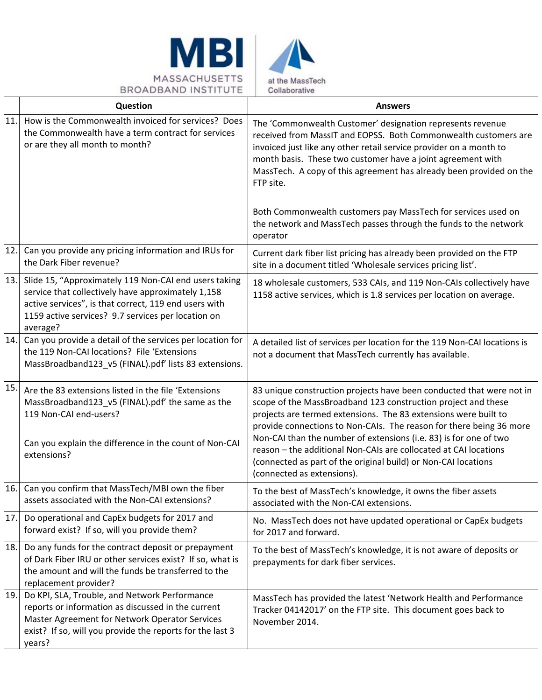

|     | Question                                                                                                                                                                                                                               | <b>Answers</b>                                                                                                                                                                                                                                                                                                                                         |
|-----|----------------------------------------------------------------------------------------------------------------------------------------------------------------------------------------------------------------------------------------|--------------------------------------------------------------------------------------------------------------------------------------------------------------------------------------------------------------------------------------------------------------------------------------------------------------------------------------------------------|
| 11. | How is the Commonwealth invoiced for services? Does<br>the Commonwealth have a term contract for services<br>or are they all month to month?                                                                                           | The 'Commonwealth Customer' designation represents revenue<br>received from MassIT and EOPSS. Both Commonwealth customers are<br>invoiced just like any other retail service provider on a month to<br>month basis. These two customer have a joint agreement with<br>MassTech. A copy of this agreement has already been provided on the<br>FTP site. |
|     |                                                                                                                                                                                                                                        | Both Commonwealth customers pay MassTech for services used on<br>the network and MassTech passes through the funds to the network<br>operator                                                                                                                                                                                                          |
| 12. | Can you provide any pricing information and IRUs for<br>the Dark Fiber revenue?                                                                                                                                                        | Current dark fiber list pricing has already been provided on the FTP<br>site in a document titled 'Wholesale services pricing list'.                                                                                                                                                                                                                   |
| 13. | Slide 15, "Approximately 119 Non-CAI end users taking<br>service that collectively have approximately 1,158<br>active services", is that correct, 119 end users with<br>1159 active services? 9.7 services per location on<br>average? | 18 wholesale customers, 533 CAIs, and 119 Non-CAIs collectively have<br>1158 active services, which is 1.8 services per location on average.                                                                                                                                                                                                           |
| 14. | Can you provide a detail of the services per location for<br>the 119 Non-CAI locations? File 'Extensions<br>MassBroadband123_v5 (FINAL).pdf' lists 83 extensions.                                                                      | A detailed list of services per location for the 119 Non-CAI locations is<br>not a document that MassTech currently has available.                                                                                                                                                                                                                     |
| 15. | Are the 83 extensions listed in the file 'Extensions<br>MassBroadband123_v5 (FINAL).pdf' the same as the<br>119 Non-CAI end-users?<br>Can you explain the difference in the count of Non-CAI                                           | 83 unique construction projects have been conducted that were not in<br>scope of the MassBroadband 123 construction project and these<br>projects are termed extensions. The 83 extensions were built to<br>provide connections to Non-CAIs. The reason for there being 36 more<br>Non-CAI than the number of extensions (i.e. 83) is for one of two   |
|     | extensions?                                                                                                                                                                                                                            | reason - the additional Non-CAIs are collocated at CAI locations<br>(connected as part of the original build) or Non-CAI locations<br>(connected as extensions).                                                                                                                                                                                       |
| 16. | Can you confirm that MassTech/MBI own the fiber<br>assets associated with the Non-CAI extensions?                                                                                                                                      | To the best of MassTech's knowledge, it owns the fiber assets<br>associated with the Non-CAI extensions.                                                                                                                                                                                                                                               |
| 17. | Do operational and CapEx budgets for 2017 and<br>forward exist? If so, will you provide them?                                                                                                                                          | No. MassTech does not have updated operational or CapEx budgets<br>for 2017 and forward.                                                                                                                                                                                                                                                               |
| 18. | Do any funds for the contract deposit or prepayment<br>of Dark Fiber IRU or other services exist? If so, what is<br>the amount and will the funds be transferred to the<br>replacement provider?                                       | To the best of MassTech's knowledge, it is not aware of deposits or<br>prepayments for dark fiber services.                                                                                                                                                                                                                                            |
| 19. | Do KPI, SLA, Trouble, and Network Performance<br>reports or information as discussed in the current<br>Master Agreement for Network Operator Services<br>exist? If so, will you provide the reports for the last 3<br>years?           | MassTech has provided the latest 'Network Health and Performance<br>Tracker 04142017' on the FTP site. This document goes back to<br>November 2014.                                                                                                                                                                                                    |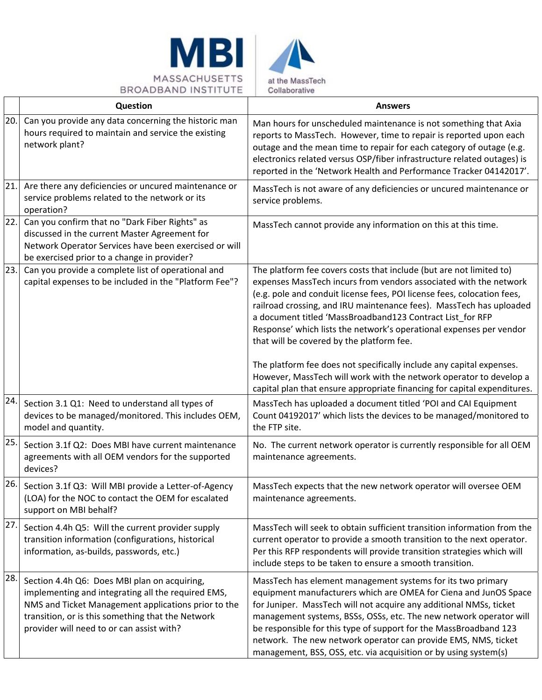

|     | Question                                                                                                                                                                                                                                                    | <b>Answers</b>                                                                                                                                                                                                                                                                                                                                                                                                                                                                         |
|-----|-------------------------------------------------------------------------------------------------------------------------------------------------------------------------------------------------------------------------------------------------------------|----------------------------------------------------------------------------------------------------------------------------------------------------------------------------------------------------------------------------------------------------------------------------------------------------------------------------------------------------------------------------------------------------------------------------------------------------------------------------------------|
| 20. | Can you provide any data concerning the historic man<br>hours required to maintain and service the existing<br>network plant?                                                                                                                               | Man hours for unscheduled maintenance is not something that Axia<br>reports to MassTech. However, time to repair is reported upon each<br>outage and the mean time to repair for each category of outage (e.g.<br>electronics related versus OSP/fiber infrastructure related outages) is<br>reported in the 'Network Health and Performance Tracker 04142017'.                                                                                                                        |
| 21. | Are there any deficiencies or uncured maintenance or<br>service problems related to the network or its<br>operation?                                                                                                                                        | MassTech is not aware of any deficiencies or uncured maintenance or<br>service problems.                                                                                                                                                                                                                                                                                                                                                                                               |
| 22. | Can you confirm that no "Dark Fiber Rights" as<br>discussed in the current Master Agreement for<br>Network Operator Services have been exercised or will<br>be exercised prior to a change in provider?                                                     | MassTech cannot provide any information on this at this time.                                                                                                                                                                                                                                                                                                                                                                                                                          |
| 23. | Can you provide a complete list of operational and<br>capital expenses to be included in the "Platform Fee"?                                                                                                                                                | The platform fee covers costs that include (but are not limited to)<br>expenses MassTech incurs from vendors associated with the network<br>(e.g. pole and conduit license fees, POI license fees, colocation fees,<br>railroad crossing, and IRU maintenance fees). MassTech has uploaded<br>a document titled 'MassBroadband123 Contract List_for RFP<br>Response' which lists the network's operational expenses per vendor<br>that will be covered by the platform fee.            |
|     |                                                                                                                                                                                                                                                             | The platform fee does not specifically include any capital expenses.<br>However, MassTech will work with the network operator to develop a<br>capital plan that ensure appropriate financing for capital expenditures.                                                                                                                                                                                                                                                                 |
| 24. | Section 3.1 Q1: Need to understand all types of<br>devices to be managed/monitored. This includes OEM,<br>model and quantity.                                                                                                                               | MassTech has uploaded a document titled 'POI and CAI Equipment<br>Count 04192017' which lists the devices to be managed/monitored to<br>the FTP site.                                                                                                                                                                                                                                                                                                                                  |
| 25. | Section 3.1f Q2: Does MBI have current maintenance<br>agreements with all OEM vendors for the supported<br>devices?                                                                                                                                         | No. The current network operator is currently responsible for all OEM<br>maintenance agreements.                                                                                                                                                                                                                                                                                                                                                                                       |
| 26. | Section 3.1f Q3: Will MBI provide a Letter-of-Agency<br>(LOA) for the NOC to contact the OEM for escalated<br>support on MBI behalf?                                                                                                                        | MassTech expects that the new network operator will oversee OEM<br>maintenance agreements.                                                                                                                                                                                                                                                                                                                                                                                             |
| 27. | Section 4.4h Q5: Will the current provider supply<br>transition information (configurations, historical<br>information, as-builds, passwords, etc.)                                                                                                         | MassTech will seek to obtain sufficient transition information from the<br>current operator to provide a smooth transition to the next operator.<br>Per this RFP respondents will provide transition strategies which will<br>include steps to be taken to ensure a smooth transition.                                                                                                                                                                                                 |
| 28. | Section 4.4h Q6: Does MBI plan on acquiring,<br>implementing and integrating all the required EMS,<br>NMS and Ticket Management applications prior to the<br>transition, or is this something that the Network<br>provider will need to or can assist with? | MassTech has element management systems for its two primary<br>equipment manufacturers which are OMEA for Ciena and JunOS Space<br>for Juniper. MassTech will not acquire any additional NMSs, ticket<br>management systems, BSSs, OSSs, etc. The new network operator will<br>be responsible for this type of support for the MassBroadband 123<br>network. The new network operator can provide EMS, NMS, ticket<br>management, BSS, OSS, etc. via acquisition or by using system(s) |